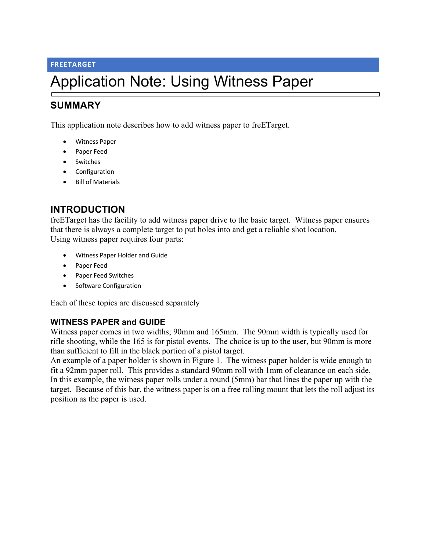#### **FREETARGET**

# Application Note: Using Witness Paper

# **SUMMARY**

This application note describes how to add witness paper to freETarget.

- Witness Paper
- Paper Feed
- Switches
- Configuration
- Bill of Materials

## **INTRODUCTION**

freETarget has the facility to add witness paper drive to the basic target. Witness paper ensures that there is always a complete target to put holes into and get a reliable shot location. Using witness paper requires four parts:

- Witness Paper Holder and Guide
- Paper Feed
- Paper Feed Switches
- Software Configuration

Each of these topics are discussed separately

## **WITNESS PAPER and GUIDE**

Witness paper comes in two widths; 90mm and 165mm. The 90mm width is typically used for rifle shooting, while the 165 is for pistol events. The choice is up to the user, but 90mm is more than sufficient to fill in the black portion of a pistol target.

An example of a paper holder is shown in Figure 1. The witness paper holder is wide enough to fit a 92mm paper roll. This provides a standard 90mm roll with 1mm of clearance on each side. In this example, the witness paper rolls under a round (5mm) bar that lines the paper up with the target. Because of this bar, the witness paper is on a free rolling mount that lets the roll adjust its position as the paper is used.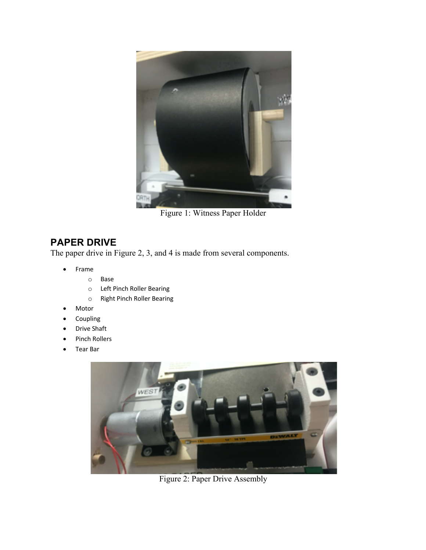

Figure 1: Witness Paper Holder

# **PAPER DRIVE**

The paper drive in Figure 2, 3, and 4 is made from several components.

- Frame
	- o Base
	- o Left Pinch Roller Bearing
	- o Right Pinch Roller Bearing
- **Motor**
- **Coupling**
- Drive Shaft
- Pinch Rollers
- Tear Bar



Figure 2: Paper Drive Assembly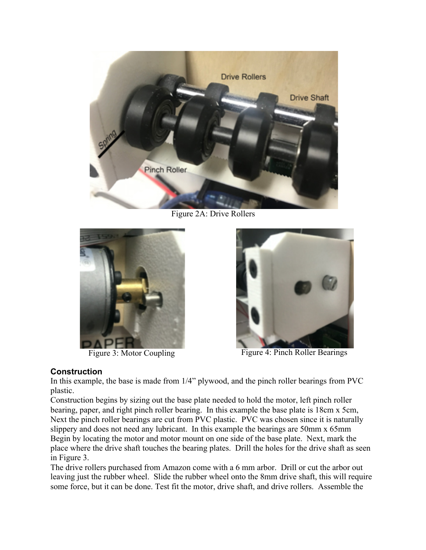

Figure 2A: Drive Rollers





Figure 3: Motor Coupling Figure 4: Pinch Roller Bearings

#### **Construction**

In this example, the base is made from 1/4" plywood, and the pinch roller bearings from PVC plastic.

Construction begins by sizing out the base plate needed to hold the motor, left pinch roller bearing, paper, and right pinch roller bearing. In this example the base plate is 18cm x 5cm, Next the pinch roller bearings are cut from PVC plastic. PVC was chosen since it is naturally slippery and does not need any lubricant. In this example the bearings are 50mm x 65mm Begin by locating the motor and motor mount on one side of the base plate. Next, mark the place where the drive shaft touches the bearing plates. Drill the holes for the drive shaft as seen in Figure 3.

The drive rollers purchased from Amazon come with a 6 mm arbor. Drill or cut the arbor out leaving just the rubber wheel. Slide the rubber wheel onto the 8mm drive shaft, this will require some force, but it can be done. Test fit the motor, drive shaft, and drive rollers. Assemble the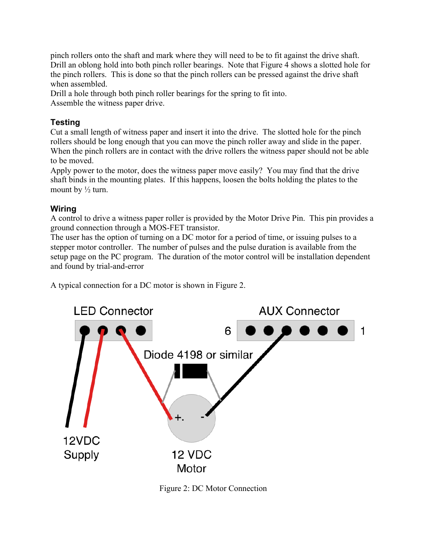pinch rollers onto the shaft and mark where they will need to be to fit against the drive shaft. Drill an oblong hold into both pinch roller bearings. Note that Figure 4 shows a slotted hole for the pinch rollers. This is done so that the pinch rollers can be pressed against the drive shaft when assembled.

Drill a hole through both pinch roller bearings for the spring to fit into. Assemble the witness paper drive.

## **Testing**

Cut a small length of witness paper and insert it into the drive. The slotted hole for the pinch rollers should be long enough that you can move the pinch roller away and slide in the paper. When the pinch rollers are in contact with the drive rollers the witness paper should not be able to be moved.

Apply power to the motor, does the witness paper move easily? You may find that the drive shaft binds in the mounting plates. If this happens, loosen the bolts holding the plates to the mount by  $\frac{1}{2}$  turn.

## **Wiring**

A control to drive a witness paper roller is provided by the Motor Drive Pin. This pin provides a ground connection through a MOS-FET transistor.

The user has the option of turning on a DC motor for a period of time, or issuing pulses to a stepper motor controller. The number of pulses and the pulse duration is available from the setup page on the PC program. The duration of the motor control will be installation dependent and found by trial-and-error

A typical connection for a DC motor is shown in Figure 2.



Figure 2: DC Motor Connection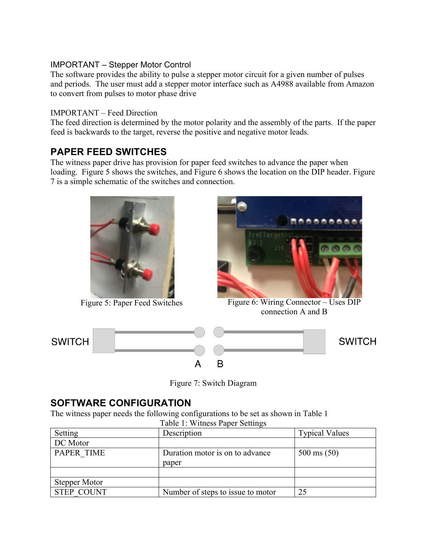## IMPORTANT – Stepper Motor Control

The software provides the ability to pulse a stepper motor circuit for a given number of pulses and periods. The user must add a stepper motor interface such as A4988 available from Amazon to convert from pulses to motor phase drive

### IMPORTANT – Feed Direction

The feed direction is determined by the motor polarity and the assembly of the parts. If the paper feed is backwards to the target, reverse the positive and negative motor leads.

## **PAPER FEED SWITCHES**

The witness paper drive has provision for paper feed switches to advance the paper when loading. Figure 5 shows the switches, and Figure 6 shows the location on the DIP header. Figure 7 is a simple schematic of the switches and connection.





Figure 5: Paper Feed Switches Figure 6: Wiring Connector – Uses DIP connection A and B



Figure 7: Switch Diagram

# **SOFTWARE CONFIGURATION**

The witness paper needs the following configurations to be set as shown in Table 1

| Table 1: Witness Paper Settings |                                   |                       |
|---------------------------------|-----------------------------------|-----------------------|
| Setting                         | Description                       | <b>Typical Values</b> |
| DC Motor                        |                                   |                       |
| <b>PAPER TIME</b>               | Duration motor is on to advance   | $500 \text{ ms} (50)$ |
|                                 | paper                             |                       |
|                                 |                                   |                       |
| Stepper Motor                   |                                   |                       |
| <b>STEP COUNT</b>               | Number of steps to issue to motor | 25                    |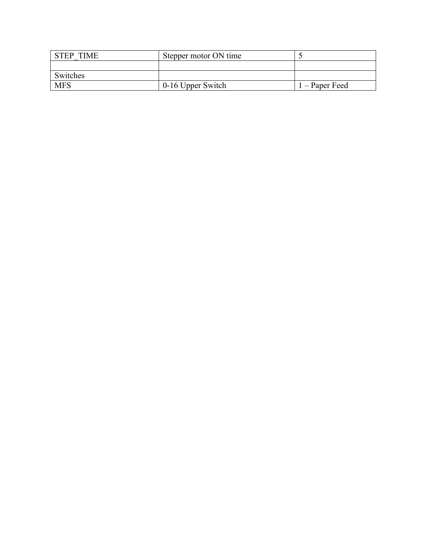| <b>STEP TIME</b> | Stepper motor ON time |                |
|------------------|-----------------------|----------------|
|                  |                       |                |
| Switches         |                       |                |
| <b>MFS</b>       | 0-16 Upper Switch     | $-$ Paper Feed |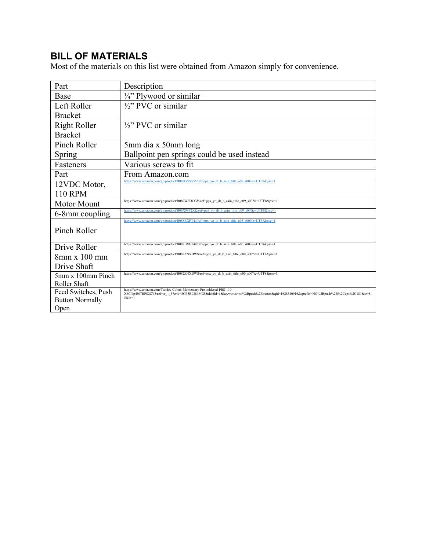# **BILL OF MATERIALS**

Most of the materials on this list were obtained from Amazon simply for convenience.

| Part                                          | Description                                                                                                                                            |
|-----------------------------------------------|--------------------------------------------------------------------------------------------------------------------------------------------------------|
| Base                                          | 1/4" Plywood or similar                                                                                                                                |
| Left Roller                                   | $\frac{1}{2}$ " PVC or similar                                                                                                                         |
| <b>Bracket</b>                                |                                                                                                                                                        |
| <b>Right Roller</b>                           | $\frac{1}{2}$ " PVC or similar                                                                                                                         |
| <b>Bracket</b>                                |                                                                                                                                                        |
| Pinch Roller                                  | 5mm dia x 50mm long                                                                                                                                    |
| Spring                                        | Ballpoint pen springs could be used instead                                                                                                            |
| Fasteners                                     | Various screws to fit                                                                                                                                  |
| Part                                          | From Amazon.com                                                                                                                                        |
| 12VDC Motor,                                  | https://www.amazon.com/gp/product/B08D3SSG55/ref=ppx yo dt b asin title o09 s00?ie=UTF8&psc=1                                                          |
| <b>110 RPM</b>                                |                                                                                                                                                        |
| Motor Mount                                   | https://www.amazon.com/gp/product/B089W6DCGV/ref=ppx_yo_dt_b_asin_title_o09_s00?ie=UTF8&psc=1                                                          |
| 6-8mm coupling                                | https://www.amazon.com/gp/product/B06X99P2XK/ref=ppx yo dt b asin title o09 s00?ie=UTF8&psc=1                                                          |
|                                               | https://www.amazon.com/gp/product/B088BXFT44/ref=ppx yo dt b asin title o05 s00?ie=UTF8&psc=1                                                          |
| Pinch Roller                                  |                                                                                                                                                        |
| Drive Roller                                  | https://www.amazon.com/gp/product/B088BXFT44/ref=ppx yo dt b asin title o00 s00?ie=UTF8&psc=1                                                          |
| $8$ mm x $100$ mm                             | https://www.amazon.com/gp/product/B082ZNXBWS/ref=ppx yo dt b asin title o00 s00?ie=UTF8&psc=1                                                          |
| Drive Shaft                                   |                                                                                                                                                        |
|                                               | https://www.amazon.com/gp/product/B082ZNXBWS/ref=ppx yo dt b asin title o00 s00?ie=UTF8&psc=1                                                          |
| 5mm x 100mm Pinch<br>Roller Shaft             |                                                                                                                                                        |
|                                               | https://www.amazon.com/Twidec-Colors-Momentary-Pre-soldered-PBS-110-                                                                                   |
| Feed Switches, Push<br><b>Button Normally</b> | X6C/dp/B07RPS2ZY3/ref=sr 1 5?crid=3GP5B9384M9Z&dchild=1&keywords=no%2Bpush%2Bbutton&qid=1628540916&sprefix=NO%2Bpush%2B%2Caps%2C181&sr=8-<br>$5$ &th=1 |
| Open                                          |                                                                                                                                                        |
|                                               |                                                                                                                                                        |